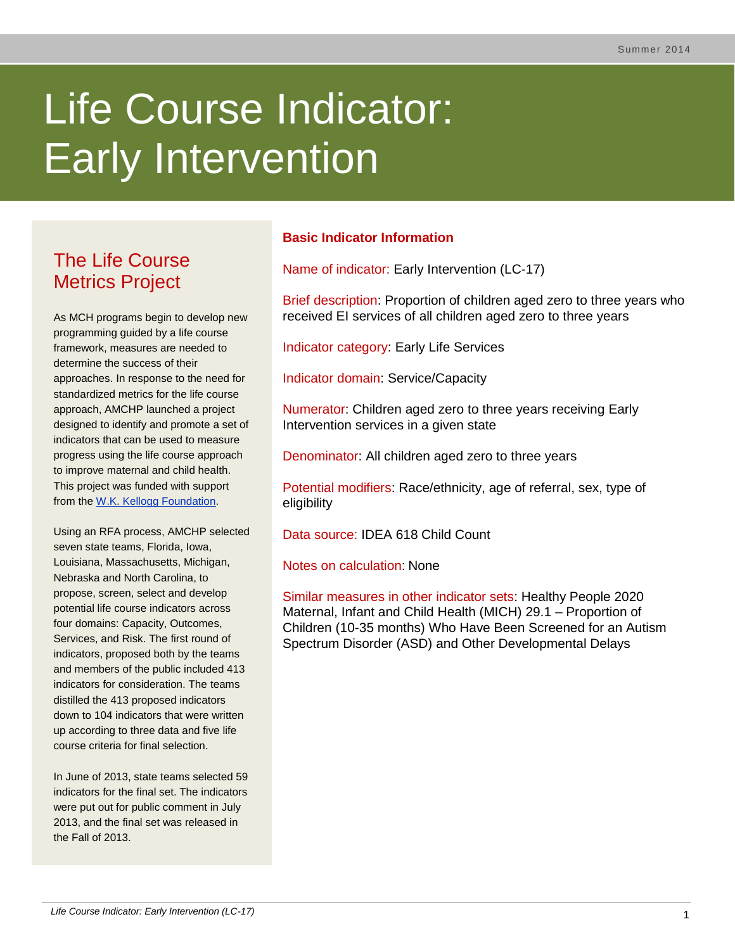# Life Course Indicator: **Early Intervention**

# The Life Course Metrics Project

As MCH programs begin to develop new programming guided by a life course framework, measures are needed to determine the success of their approaches. In response to the need for standardized metrics for the life course approach, AMCHP launched a project designed to identify and promote a set of indicators that can be used to measure progress using the life course approach to improve maternal and child health. This project was funded with support from the [W.K. Kellogg Foundation.](http://www.wkkf.org/)

Using an RFA process, AMCHP selected seven state teams, Florida, Iowa, Louisiana, Massachusetts, Michigan, Nebraska and North Carolina, to propose, screen, select and develop potential life course indicators across four domains: Capacity, Outcomes, Services, and Risk. The first round of indicators, proposed both by the teams and members of the public included 413 indicators for consideration. The teams distilled the 413 proposed indicators down to 104 indicators that were written up according to three data and five life course criteria for final selection.

In June of 2013, state teams selected 59 indicators for the final set. The indicators were put out for public comment in July 2013, and the final set was released in the Fall of 2013.

# **Basic Indicator Information**

Name of indicator: Early Intervention (LC-17)

Brief description: Proportion of children aged zero to three years who received EI services of all children aged zero to three years

Indicator category: Early Life Services

Indicator domain: Service/Capacity

Numerator: Children aged zero to three years receiving Early Intervention services in a given state

Denominator: All children aged zero to three years

Potential modifiers: Race/ethnicity, age of referral, sex, type of eligibility

Data source: IDEA 618 Child Count

Notes on calculation: None

Similar measures in other indicator sets: Healthy People 2020 Maternal, Infant and Child Health (MICH) 29.1 – Proportion of Children (10-35 months) Who Have Been Screened for an Autism Spectrum Disorder (ASD) and Other Developmental Delays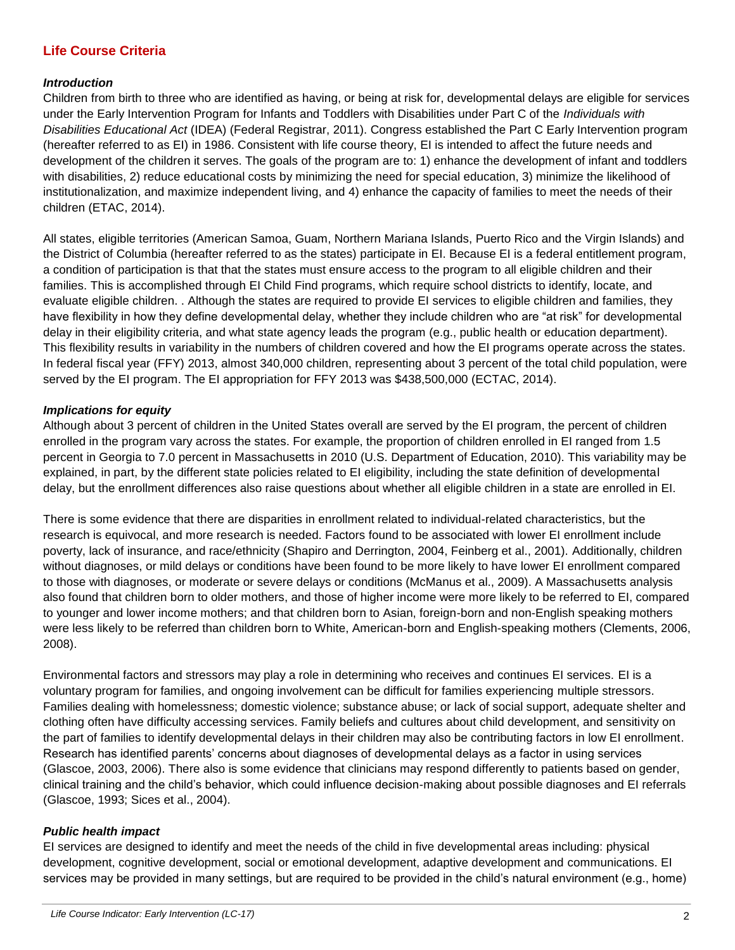# **Life Course Criteria**

#### *Introduction*

Children from birth to three who are identified as having, or being at risk for, developmental delays are eligible for services under the Early Intervention Program for Infants and Toddlers with Disabilities under Part C of the *Individuals with Disabilities Educational Act* (IDEA) (Federal Registrar, 2011). Congress established the Part C Early Intervention program (hereafter referred to as EI) in 1986. Consistent with life course theory, EI is intended to affect the future needs and development of the children it serves. The goals of the program are to: 1) enhance the development of infant and toddlers with disabilities, 2) reduce educational costs by minimizing the need for special education, 3) minimize the likelihood of institutionalization, and maximize independent living, and 4) enhance the capacity of families to meet the needs of their children (ETAC, 2014).

All states, eligible territories (American Samoa, Guam, Northern Mariana Islands, Puerto Rico and the Virgin Islands) and the District of Columbia (hereafter referred to as the states) participate in EI. Because EI is a federal entitlement program, a condition of participation is that that the states must ensure access to the program to all eligible children and their families. This is accomplished through EI Child Find programs, which require school districts to identify, locate, and evaluate eligible children. . Although the states are required to provide EI services to eligible children and families, they have flexibility in how they define developmental delay, whether they include children who are "at risk" for developmental delay in their eligibility criteria, and what state agency leads the program (e.g., public health or education department). This flexibility results in variability in the numbers of children covered and how the EI programs operate across the states. In federal fiscal year (FFY) 2013, almost 340,000 children, representing about 3 percent of the total child population, were served by the EI program. The EI appropriation for FFY 2013 was \$438,500,000 (ECTAC, 2014).

#### *Implications for equity*

Although about 3 percent of children in the United States overall are served by the EI program, the percent of children enrolled in the program vary across the states. For example, the proportion of children enrolled in EI ranged from 1.5 percent in Georgia to 7.0 percent in Massachusetts in 2010 (U.S. Department of Education, 2010). This variability may be explained, in part, by the different state policies related to EI eligibility, including the state definition of developmental delay, but the enrollment differences also raise questions about whether all eligible children in a state are enrolled in EI.

There is some evidence that there are disparities in enrollment related to individual-related characteristics, but the research is equivocal, and more research is needed. Factors found to be associated with lower EI enrollment include poverty, lack of insurance, and race/ethnicity (Shapiro and Derrington, 2004, Feinberg et al., 2001). Additionally, children without diagnoses, or mild delays or conditions have been found to be more likely to have lower EI enrollment compared to those with diagnoses, or moderate or severe delays or conditions (McManus et al., 2009). A Massachusetts analysis also found that children born to older mothers, and those of higher income were more likely to be referred to EI, compared to younger and lower income mothers; and that children born to Asian, foreign-born and non-English speaking mothers were less likely to be referred than children born to White, American-born and English-speaking mothers (Clements, 2006, 2008).

Environmental factors and stressors may play a role in determining who receives and continues EI services. EI is a voluntary program for families, and ongoing involvement can be difficult for families experiencing multiple stressors. Families dealing with homelessness; domestic violence; substance abuse; or lack of social support, adequate shelter and clothing often have difficulty accessing services. Family beliefs and cultures about child development, and sensitivity on the part of families to identify developmental delays in their children may also be contributing factors in low EI enrollment. Research has identified parents' concerns about diagnoses of developmental delays as a factor in using services (Glascoe, 2003, 2006). There also is some evidence that clinicians may respond differently to patients based on gender, clinical training and the child's behavior, which could influence decision-making about possible diagnoses and EI referrals (Glascoe, 1993; Sices et al., 2004).

#### *Public health impact*

EI services are designed to identify and meet the needs of the child in five developmental areas including: physical development, cognitive development, social or emotional development, adaptive development and communications. EI services may be provided in many settings, but are required to be provided in the child's natural environment (e.g., home)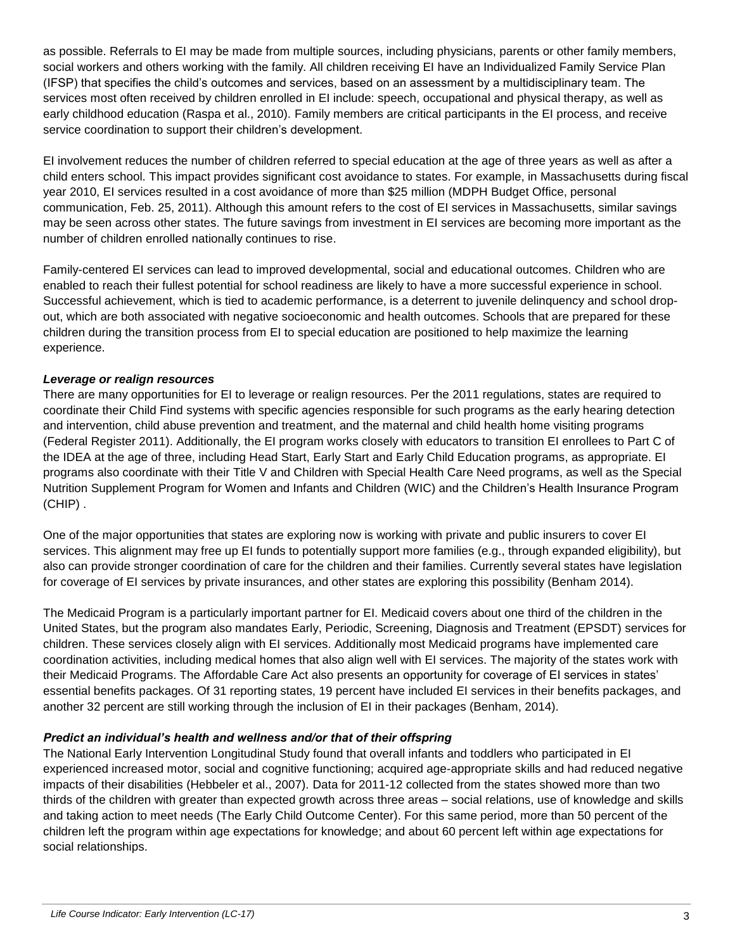as possible. Referrals to EI may be made from multiple sources, including physicians, parents or other family members, social workers and others working with the family. All children receiving EI have an Individualized Family Service Plan (IFSP) that specifies the child's outcomes and services, based on an assessment by a multidisciplinary team. The services most often received by children enrolled in EI include: speech, occupational and physical therapy, as well as early childhood education (Raspa et al., 2010). Family members are critical participants in the EI process, and receive service coordination to support their children's development.

EI involvement reduces the number of children referred to special education at the age of three years as well as after a child enters school. This impact provides significant cost avoidance to states. For example, in Massachusetts during fiscal year 2010, EI services resulted in a cost avoidance of more than \$25 million (MDPH Budget Office, personal communication, Feb. 25, 2011). Although this amount refers to the cost of EI services in Massachusetts, similar savings may be seen across other states. The future savings from investment in EI services are becoming more important as the number of children enrolled nationally continues to rise.

Family-centered EI services can lead to improved developmental, social and educational outcomes. Children who are enabled to reach their fullest potential for school readiness are likely to have a more successful experience in school. Successful achievement, which is tied to academic performance, is a deterrent to juvenile delinquency and school dropout, which are both associated with negative socioeconomic and health outcomes. Schools that are prepared for these children during the transition process from EI to special education are positioned to help maximize the learning experience.

#### *Leverage or realign resources*

There are many opportunities for EI to leverage or realign resources. Per the 2011 regulations, states are required to coordinate their Child Find systems with specific agencies responsible for such programs as the early hearing detection and intervention, child abuse prevention and treatment, and the maternal and child health home visiting programs (Federal Register 2011). Additionally, the EI program works closely with educators to transition EI enrollees to Part C of the IDEA at the age of three, including Head Start, Early Start and Early Child Education programs, as appropriate. EI programs also coordinate with their Title V and Children with Special Health Care Need programs, as well as the Special Nutrition Supplement Program for Women and Infants and Children (WIC) and the Children's Health Insurance Program (CHIP) .

One of the major opportunities that states are exploring now is working with private and public insurers to cover EI services. This alignment may free up EI funds to potentially support more families (e.g., through expanded eligibility), but also can provide stronger coordination of care for the children and their families. Currently several states have legislation for coverage of EI services by private insurances, and other states are exploring this possibility (Benham 2014).

The Medicaid Program is a particularly important partner for EI. Medicaid covers about one third of the children in the United States, but the program also mandates Early, Periodic, Screening, Diagnosis and Treatment (EPSDT) services for children. These services closely align with EI services. Additionally most Medicaid programs have implemented care coordination activities, including medical homes that also align well with EI services. The majority of the states work with their Medicaid Programs. The Affordable Care Act also presents an opportunity for coverage of EI services in states' essential benefits packages. Of 31 reporting states, 19 percent have included EI services in their benefits packages, and another 32 percent are still working through the inclusion of EI in their packages (Benham, 2014).

### *Predict an individual's health and wellness and/or that of their offspring*

The National Early Intervention Longitudinal Study found that overall infants and toddlers who participated in EI experienced increased motor, social and cognitive functioning; acquired age-appropriate skills and had reduced negative impacts of their disabilities (Hebbeler et al., 2007). Data for 2011-12 collected from the states showed more than two thirds of the children with greater than expected growth across three areas – social relations, use of knowledge and skills and taking action to meet needs (The Early Child Outcome Center). For this same period, more than 50 percent of the children left the program within age expectations for knowledge; and about 60 percent left within age expectations for social relationships.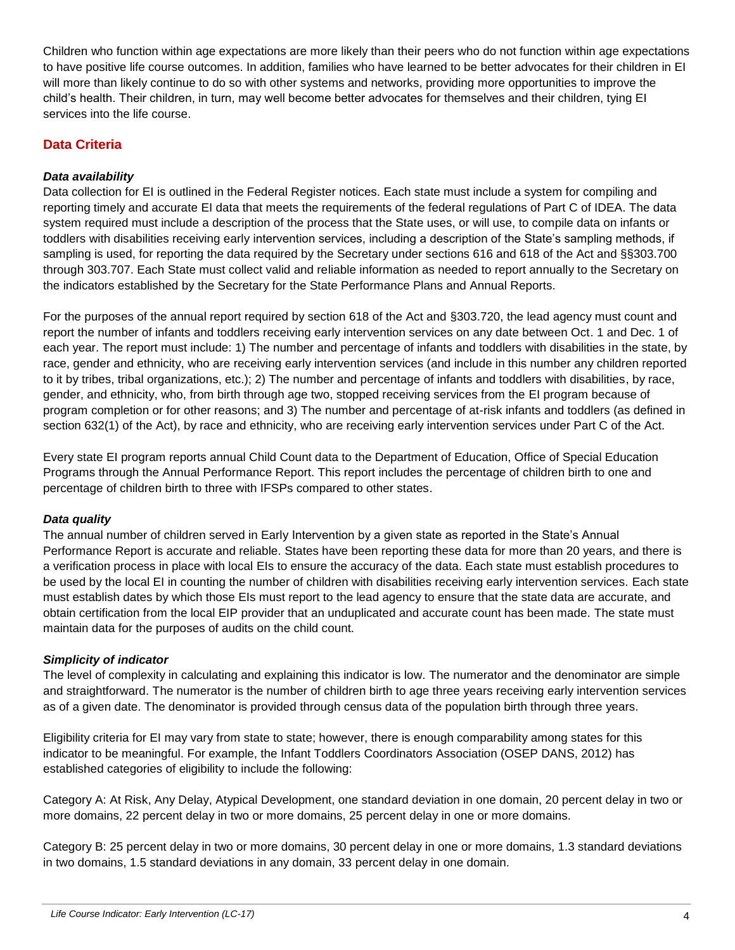Children who function within age expectations are more likely than their peers who do not function within age expectations to have positive life course outcomes. In addition, families who have learned to be better advocates for their children in EI will more than likely continue to do so with other systems and networks, providing more opportunities to improve the child's health. Their children, in turn, may well become better advocates for themselves and their children, tying EI services into the life course.

# **Data Criteria**

#### *Data availability*

Data collection for EI is outlined in the Federal Register notices. Each state must include a system for compiling and reporting timely and accurate EI data that meets the requirements of the federal regulations of Part C of IDEA. The data system required must include a description of the process that the State uses, or will use, to compile data on infants or toddlers with disabilities receiving early intervention services, including a description of the State's sampling methods, if sampling is used, for reporting the data required by the Secretary under sections 616 and 618 of the Act and §§303.700 through 303.707. Each State must collect valid and reliable information as needed to report annually to the Secretary on the indicators established by the Secretary for the State Performance Plans and Annual Reports.

For the purposes of the annual report required by section 618 of the Act and §303.720, the lead agency must count and report the number of infants and toddlers receiving early intervention services on any date between Oct. 1 and Dec. 1 of each year. The report must include: 1) The number and percentage of infants and toddlers with disabilities in the state, by race, gender and ethnicity, who are receiving early intervention services (and include in this number any children reported to it by tribes, tribal organizations, etc.); 2) The number and percentage of infants and toddlers with disabilities, by race, gender, and ethnicity, who, from birth through age two, stopped receiving services from the EI program because of program completion or for other reasons; and 3) The number and percentage of at-risk infants and toddlers (as defined in section 632(1) of the Act), by race and ethnicity, who are receiving early intervention services under Part C of the Act.

Every state EI program reports annual Child Count data to the Department of Education, Office of Special Education Programs through the Annual Performance Report. This report includes the percentage of children birth to one and percentage of children birth to three with IFSPs compared to other states.

#### *Data quality*

The annual number of children served in Early Intervention by a given state as reported in the State's Annual Performance Report is accurate and reliable. States have been reporting these data for more than 20 years, and there is a verification process in place with local EIs to ensure the accuracy of the data. Each state must establish procedures to be used by the local EI in counting the number of children with disabilities receiving early intervention services. Each state must establish dates by which those EIs must report to the lead agency to ensure that the state data are accurate, and obtain certification from the local EIP provider that an unduplicated and accurate count has been made. The state must maintain data for the purposes of audits on the child count.

#### *Simplicity of indicator*

The level of complexity in calculating and explaining this indicator is low. The numerator and the denominator are simple and straightforward. The numerator is the number of children birth to age three years receiving early intervention services as of a given date. The denominator is provided through census data of the population birth through three years.

Eligibility criteria for EI may vary from state to state; however, there is enough comparability among states for this indicator to be meaningful. For example, the Infant Toddlers Coordinators Association (OSEP DANS, 2012) has established categories of eligibility to include the following:

Category A: At Risk, Any Delay, Atypical Development, one standard deviation in one domain, 20 percent delay in two or more domains, 22 percent delay in two or more domains, 25 percent delay in one or more domains.

Category B: 25 percent delay in two or more domains, 30 percent delay in one or more domains, 1.3 standard deviations in two domains, 1.5 standard deviations in any domain, 33 percent delay in one domain.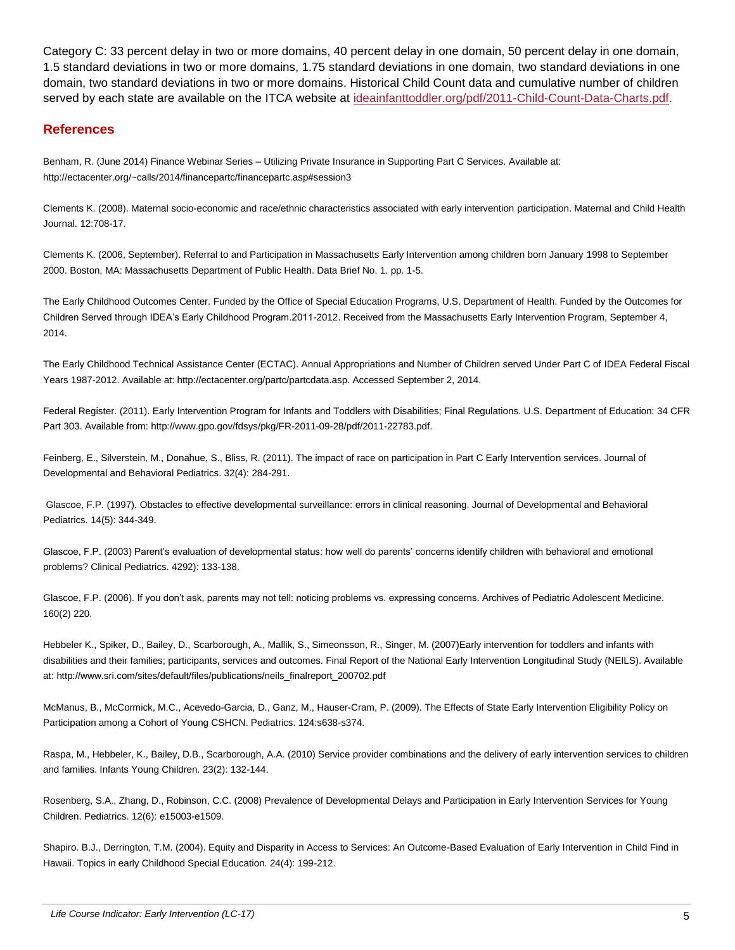Category C: 33 percent delay in two or more domains, 40 percent delay in one domain, 50 percent delay in one domain, 1.5 standard deviations in two or more domains, 1.75 standard deviations in one domain, two standard deviations in one domain, two standard deviations in two or more domains. Historical Child Count data and cumulative number of children served by each state are available on the ITCA website at [ideainfanttoddler.org/pdf/2011-Child-Count-Data-Charts.pdf.](http://www.ideainfanttoddler.org/pdf/2011-Child-Count-Data-Charts.pdf)

#### **References**

Benham, R. (June 2014) Finance Webinar Series – Utilizing Private Insurance in Supporting Part C Services. Available at: http://ectacenter.org/~calls/2014/financepartc/financepartc.asp#session3

Clements K. (2008). Maternal socio-economic and race/ethnic characteristics associated with early intervention participation. Maternal and Child Health Journal. 12:708-17.

Clements K. (2006, September). Referral to and Participation in Massachusetts Early Intervention among children born January 1998 to September 2000. Boston, MA: Massachusetts Department of Public Health. Data Brief No. 1. pp. 1-5.

The Early Childhood Outcomes Center. Funded by the Office of Special Education Programs, U.S. Department of Health. Funded by the Outcomes for Children Served through IDEA's Early Childhood Program.2011-2012. Received from the Massachusetts Early Intervention Program, September 4, 2014.

The Early Childhood Technical Assistance Center (ECTAC). Annual Appropriations and Number of Children served Under Part C of IDEA Federal Fiscal Years 1987-2012. Available at: http://ectacenter.org/partc/partcdata.asp. Accessed September 2, 2014.

Federal Register. (2011). Early Intervention Program for Infants and Toddlers with Disabilities; Final Regulations. U.S. Department of Education: 34 CFR Part 303. Available from: http://www.gpo.gov/fdsys/pkg/FR-2011-09-28/pdf/2011-22783.pdf.

Feinberg, E., Silverstein, M., Donahue, S., Bliss, R. (2011). The impact of race on participation in Part C Early Intervention services. Journal of Developmental and Behavioral Pediatrics. 32(4): 284-291.

Glascoe, F.P. (1997). Obstacles to effective developmental surveillance: errors in clinical reasoning. Journal of Developmental and Behavioral Pediatrics. 14(5): 344-349.

Glascoe, F.P. (2003) Parent's evaluation of developmental status: how well do parents' concerns identify children with behavioral and emotional problems? Clinical Pediatrics. 4292): 133-138.

Glascoe, F.P. (2006). If you don't ask, parents may not tell: noticing problems vs. expressing concerns. Archives of Pediatric Adolescent Medicine. 160(2) 220.

Hebbeler K., Spiker, D., Bailey, D., Scarborough, A., Mallik, S., Simeonsson, R., Singer, M. (2007)Early intervention for toddlers and infants with disabilities and their families; participants, services and outcomes. Final Report of the National Early Intervention Longitudinal Study (NEILS). Available at: http://www.sri.com/sites/default/files/publications/neils\_finalreport\_200702.pdf

McManus, B., McCormick, M.C., Acevedo-Garcia, D., Ganz, M., Hauser-Cram, P. (2009). The Effects of State Early Intervention Eligibility Policy on Participation among a Cohort of Young CSHCN. Pediatrics. 124:s638-s374.

Raspa, M., Hebbeler, K., Bailey, D.B., Scarborough, A.A. (2010) Service provider combinations and the delivery of early intervention services to children and families. Infants Young Children. 23(2): 132-144.

Rosenberg, S.A., Zhang, D., Robinson, C.C. (2008) Prevalence of Developmental Delays and Participation in Early Intervention Services for Young Children. Pediatrics. 12(6): e15003-e1509.

Shapiro. B.J., Derrington, T.M. (2004). Equity and Disparity in Access to Services: An Outcome-Based Evaluation of Early Intervention in Child Find in Hawaii. Topics in early Childhood Special Education. 24(4): 199-212.